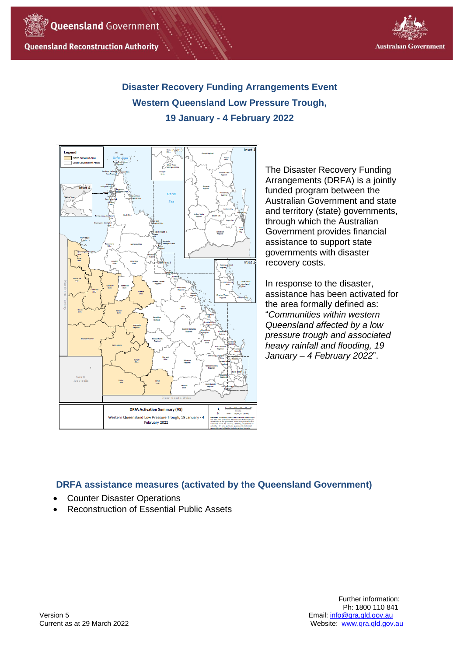



# **Disaster Recovery Funding Arrangements Event Western Queensland Low Pressure Trough, 19 January - 4 February 2022**



The Disaster Recovery Funding Arrangements (DRFA) is a jointly funded program between the Australian Government and state and territory (state) governments, through which the Australian Government provides financial assistance to support state governments with disaster recovery costs.

In response to the disaster, assistance has been activated for the area formally defined as: "*Communities within western Queensland affected by a low pressure trough and associated heavy rainfall and flooding, 19 January – 4 February 2022*".

# **DRFA assistance measures (activated by the Queensland Government)**

- Counter Disaster Operations
- Reconstruction of Essential Public Assets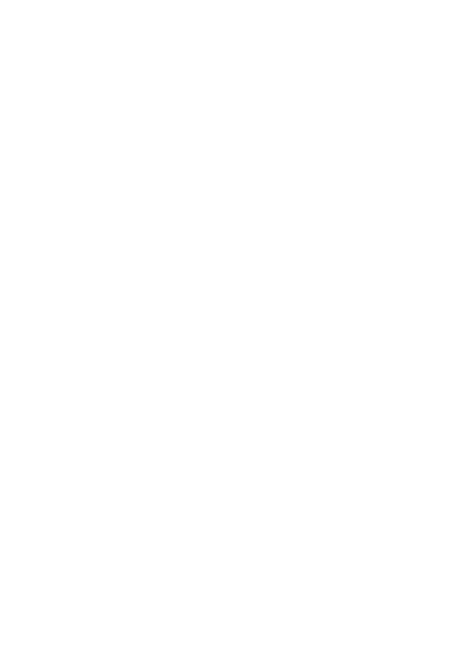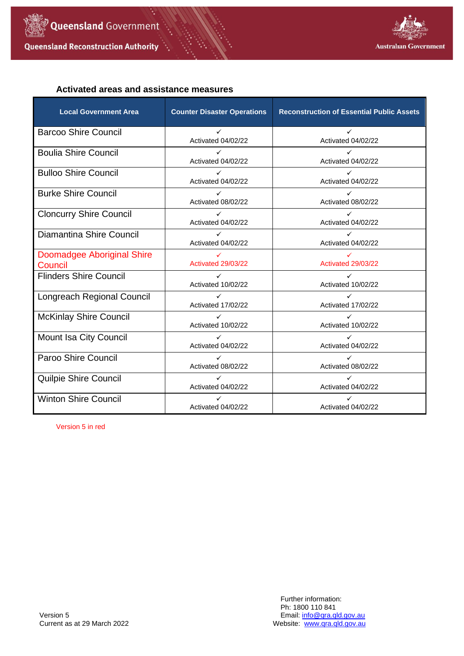



### **Activated areas and assistance measures**

| <b>Local Government Area</b>                 | <b>Counter Disaster Operations</b> | <b>Reconstruction of Essential Public Assets</b> |
|----------------------------------------------|------------------------------------|--------------------------------------------------|
| <b>Barcoo Shire Council</b>                  | ✓<br>Activated 04/02/22            | Activated 04/02/22                               |
| <b>Boulia Shire Council</b>                  | ✓<br>Activated 04/02/22            | Activated 04/02/22                               |
| <b>Bulloo Shire Council</b>                  | Activated 04/02/22                 | Activated 04/02/22                               |
| <b>Burke Shire Council</b>                   | $\checkmark$<br>Activated 08/02/22 | Activated 08/02/22                               |
| <b>Cloncurry Shire Council</b>               | Activated 04/02/22                 | Activated 04/02/22                               |
| Diamantina Shire Council                     | $\checkmark$<br>Activated 04/02/22 | Activated 04/02/22                               |
| <b>Doomadgee Aboriginal Shire</b><br>Council | Activated 29/03/22                 | Activated 29/03/22                               |
| <b>Flinders Shire Council</b>                | $\checkmark$<br>Activated 10/02/22 | Activated 10/02/22                               |
| Longreach Regional Council                   | $\checkmark$<br>Activated 17/02/22 | Activated 17/02/22                               |
| <b>McKinlay Shire Council</b>                | $\checkmark$<br>Activated 10/02/22 | $\checkmark$<br>Activated 10/02/22               |
| Mount Isa City Council                       | ✓<br>Activated 04/02/22            | Activated 04/02/22                               |
| Paroo Shire Council                          | $\checkmark$<br>Activated 08/02/22 | $\checkmark$<br>Activated 08/02/22               |
| Quilpie Shire Council                        | ✓<br>Activated 04/02/22            | Activated 04/02/22                               |
| <b>Winton Shire Council</b>                  | $\checkmark$<br>Activated 04/02/22 | ✓<br>Activated 04/02/22                          |

Version 5 in red